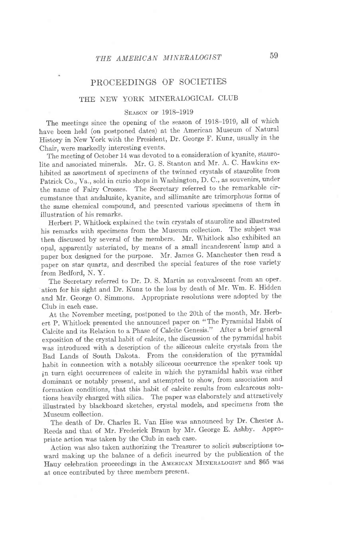## PROCEEDINGS OF SOCIETIES

### THE NEW YORK MINERALOGICAL CLUB

#### SEASON OF 1918-1919

The meetings since the opening of the season of 1918-1919, all of which have been held (on postponed dates) at the American Museum of Natural History in New York with the President, Dr. George F. Kunz, usually in the Chair, were markedly interesting events.

The meeting of October 14 was devoted to a consideration of kyanite, stauro-Iite and associated minerals. Mr. G. S. Stanton and Mr. A. C. Hawkins exhibited as assortment of specimens of the twinned crystals of staurolite from Patrick Co., Va., sold in curio shops in Washington, D. C., as souvenirs, under the name of Fairy Crosses. The Secretary referred to the remarkable circumstance that andalusite, kyanite, and sillimanite are trimorphous forms of the same chemical compound, and presented various specimens of them in illustration of his remarks.

Herbert P. Whitlock explained the twin crvstals of staurolite and illustrated his remarks with specimens from the Museum collection. The subject was then discussed by several of the members. Mr. Whitlock also exhibited an opal, apparently asteriated, by means of a small incandescent lamp and a paper box designed for the purpose. Mr. James G. Manchester then read a paper on star quartz, and described the special features of the rose variety from Bedford, N. Y.

The Secretary referred to Dr. D. S. Martin as convalescent from an operation for his sight and Dr. Kunz to the loss by death of Mr. Wm. E. Hidden and Mr. George O. Simmons. Appropriate resolutions were adopted by the Club in each case.

At the November meeting, postponed to the 20th of the month, Mr. Herbert P. Whitlock presented the announced paper on "The Pyramidal Habit o{ calcite and its Relation to a Phase of calcite Genesis." After a brief general exposition of the crystal habit of calcite, the discussion of the pyramidal habit was introduced with a description of the siliceous calcite crystals from the Bad Lands of South Dakota. From the consideration of the pyramidal habit in connection with a notably siliceous occurrence the speaker took up in turn eight occurrences of calcite in which the pyramidal habit was either dominant or notably present, and attempted to show, from association and formation conditions, that this habit of calcite results from calcareous solutions heavily charged with silica. The paper was elaborately and attractively illustrated by blackboard sketches, crystal models, and specimens from the Museum collection.

The death of Dr. Charles R. Van Hise was announced by Dr. Chester A. Reeds and that of Mr. Frederick Braun by Mr. George E. Ashby. Appropriate action was taken by the Club in each case.

Action was also taken authorizing the Treasurer to solicit subscriptions toward making up the balance of a deficit incurred by the publication of the Hauy celebration proceedings in the AMERICAN MINERALOGIST and \$65 was at once contributed by three members present.